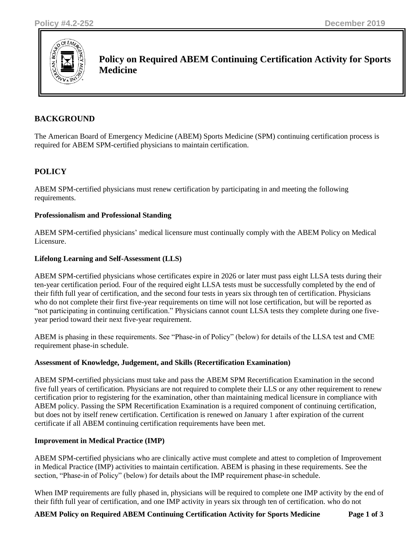

**Policy on Required ABEM Continuing Certification Activity for Sports Medicine**

# **BACKGROUND**

The American Board of Emergency Medicine (ABEM) Sports Medicine (SPM) continuing certification process is required for ABEM SPM-certified physicians to maintain certification.

# **POLICY**

ABEM SPM-certified physicians must renew certification by participating in and meeting the following requirements.

## **Professionalism and Professional Standing**

ABEM SPM-certified physicians' medical licensure must continually comply with the ABEM Policy on Medical Licensure.

## **Lifelong Learning and Self-Assessment (LLS)**

ABEM SPM-certified physicians whose certificates expire in 2026 or later must pass eight LLSA tests during their ten-year certification period. Four of the required eight LLSA tests must be successfully completed by the end of their fifth full year of certification, and the second four tests in years six through ten of certification. Physicians who do not complete their first five-year requirements on time will not lose certification, but will be reported as "not participating in continuing certification." Physicians cannot count LLSA tests they complete during one fiveyear period toward their next five-year requirement.

ABEM is phasing in these requirements. See "Phase-in of Policy" (below) for details of the LLSA test and CME requirement phase-in schedule.

#### **Assessment of Knowledge, Judgement, and Skills (Recertification Examination)**

ABEM SPM-certified physicians must take and pass the ABEM SPM Recertification Examination in the second five full years of certification. Physicians are not required to complete their LLS or any other requirement to renew certification prior to registering for the examination, other than maintaining medical licensure in compliance with ABEM policy. Passing the SPM Recertification Examination is a required component of continuing certification, but does not by itself renew certification. Certification is renewed on January 1 after expiration of the current certificate if all ABEM continuing certification requirements have been met.

# **Improvement in Medical Practice (IMP)**

ABEM SPM-certified physicians who are clinically active must complete and attest to completion of Improvement in Medical Practice (IMP) activities to maintain certification. ABEM is phasing in these requirements. See the section, "Phase-in of Policy" (below) for details about the IMP requirement phase-in schedule.

When IMP requirements are fully phased in, physicians will be required to complete one IMP activity by the end of their fifth full year of certification, and one IMP activity in years six through ten of certification. who do not

#### **ABEM Policy on Required ABEM Continuing Certification Activity for Sports Medicine Page 1 of 3**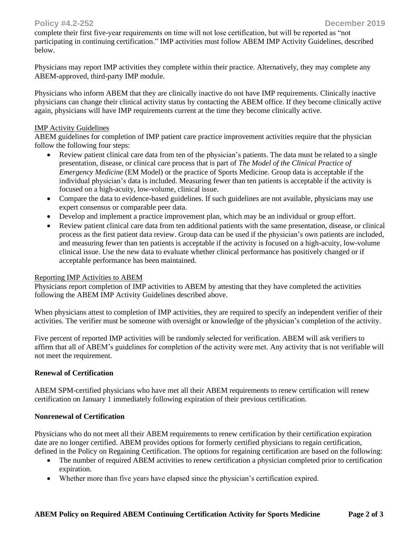## **Policy #4.2-252 December 2019**

complete their first five-year requirements on time will not lose certification, but will be reported as "not participating in continuing certification." IMP activities must follow ABEM IMP Activity Guidelines, described below.

Physicians may report IMP activities they complete within their practice. Alternatively, they may complete any ABEM-approved, third-party IMP module.

Physicians who inform ABEM that they are clinically inactive do not have IMP requirements. Clinically inactive physicians can change their clinical activity status by contacting the ABEM office. If they become clinically active again, physicians will have IMP requirements current at the time they become clinically active.

#### IMP Activity Guidelines

ABEM guidelines for completion of IMP patient care practice improvement activities require that the physician follow the following four steps:

- Review patient clinical care data from ten of the physician's patients. The data must be related to a single presentation, disease, or clinical care process that is part of *The Model of the Clinical Practice of Emergency Medicine* (EM Model) or the practice of Sports Medicine. Group data is acceptable if the individual physician's data is included. Measuring fewer than ten patients is acceptable if the activity is focused on a high-acuity, low-volume, clinical issue.
- Compare the data to evidence-based guidelines. If such guidelines are not available, physicians may use expert consensus or comparable peer data.
- Develop and implement a practice improvement plan, which may be an individual or group effort.
- Review patient clinical care data from ten additional patients with the same presentation, disease, or clinical process as the first patient data review. Group data can be used if the physician's own patients are included, and measuring fewer than ten patients is acceptable if the activity is focused on a high-acuity, low-volume clinical issue. Use the new data to evaluate whether clinical performance has positively changed or if acceptable performance has been maintained.

#### Reporting IMP Activities to ABEM

Physicians report completion of IMP activities to ABEM by attesting that they have completed the activities following the ABEM IMP Activity Guidelines described above.

When physicians attest to completion of IMP activities, they are required to specify an independent verifier of their activities. The verifier must be someone with oversight or knowledge of the physician's completion of the activity.

Five percent of reported IMP activities will be randomly selected for verification. ABEM will ask verifiers to affirm that all of ABEM's guidelines for completion of the activity were met. Any activity that is not verifiable will not meet the requirement.

#### **Renewal of Certification**

ABEM SPM-certified physicians who have met all their ABEM requirements to renew certification will renew certification on January 1 immediately following expiration of their previous certification.

#### **Nonrenewal of Certification**

Physicians who do not meet all their ABEM requirements to renew certification by their certification expiration date are no longer certified. ABEM provides options for formerly certified physicians to regain certification, defined in the Policy on Regaining Certification. The options for regaining certification are based on the following:

- The number of required ABEM activities to renew certification a physician completed prior to certification expiration.
- Whether more than five years have elapsed since the physician's certification expired.